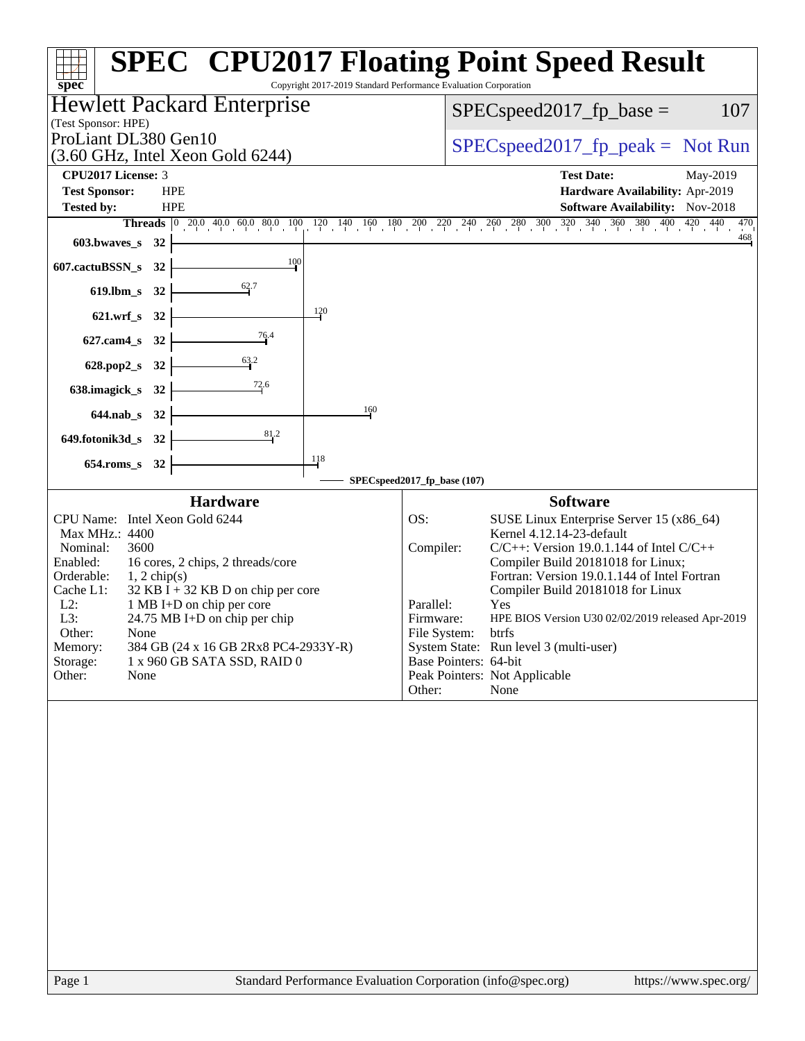| Copyright 2017-2019 Standard Performance Evaluation Corporation<br>spec <sup>®</sup>                                                                                                                                                                                                                                                                                                                                                           | <b>SPEC<sup>®</sup> CPU2017 Floating Point Speed Result</b>                                                                                                                                                                                                                                                                                                                                                                                                                                                                   |  |  |  |
|------------------------------------------------------------------------------------------------------------------------------------------------------------------------------------------------------------------------------------------------------------------------------------------------------------------------------------------------------------------------------------------------------------------------------------------------|-------------------------------------------------------------------------------------------------------------------------------------------------------------------------------------------------------------------------------------------------------------------------------------------------------------------------------------------------------------------------------------------------------------------------------------------------------------------------------------------------------------------------------|--|--|--|
| <b>Hewlett Packard Enterprise</b><br>(Test Sponsor: HPE)                                                                                                                                                                                                                                                                                                                                                                                       | 107<br>$SPEC speed2017_fp\_base =$                                                                                                                                                                                                                                                                                                                                                                                                                                                                                            |  |  |  |
| ProLiant DL380 Gen10<br>$(3.60 \text{ GHz}, \text{Intel Xeon Gold } 6244)$                                                                                                                                                                                                                                                                                                                                                                     | $SPEC speed2017fr peak = Not Run$                                                                                                                                                                                                                                                                                                                                                                                                                                                                                             |  |  |  |
| CPU2017 License: 3<br><b>Test Sponsor:</b><br><b>HPE</b><br>Tested by:<br><b>HPE</b>                                                                                                                                                                                                                                                                                                                                                           | <b>Test Date:</b><br>May-2019<br>Hardware Availability: Apr-2019<br><b>Software Availability:</b> Nov-2018<br>Threads 0 20.0 40.0 60.0 80.0 100 120 140 160 180 200 220 240 260 280 300 320 340 360 380 400 420 440<br>470<br>$\frac{468}{1}$                                                                                                                                                                                                                                                                                 |  |  |  |
| $603.bwaves$ $32$<br>$\frac{100}{1}$<br>607.cactuBSSN_s 32                                                                                                                                                                                                                                                                                                                                                                                     |                                                                                                                                                                                                                                                                                                                                                                                                                                                                                                                               |  |  |  |
| $\frac{62}{ }7$<br>619.lbm_s 32                                                                                                                                                                                                                                                                                                                                                                                                                |                                                                                                                                                                                                                                                                                                                                                                                                                                                                                                                               |  |  |  |
| 120<br>621.wrf_s 32                                                                                                                                                                                                                                                                                                                                                                                                                            |                                                                                                                                                                                                                                                                                                                                                                                                                                                                                                                               |  |  |  |
| 76.4<br>627.cam4_s 32                                                                                                                                                                                                                                                                                                                                                                                                                          |                                                                                                                                                                                                                                                                                                                                                                                                                                                                                                                               |  |  |  |
| $\frac{63}{4}$ <sup>2</sup><br>628.pop2_s 32                                                                                                                                                                                                                                                                                                                                                                                                   |                                                                                                                                                                                                                                                                                                                                                                                                                                                                                                                               |  |  |  |
| $\frac{72.6}{ }$<br>638.imagick_s 32<br>160                                                                                                                                                                                                                                                                                                                                                                                                    |                                                                                                                                                                                                                                                                                                                                                                                                                                                                                                                               |  |  |  |
| 644.nab_s 32<br>$\frac{81}{2}$<br>$649.$ fotonik $3d_s$ 32                                                                                                                                                                                                                                                                                                                                                                                     |                                                                                                                                                                                                                                                                                                                                                                                                                                                                                                                               |  |  |  |
| $\frac{118}{1}$<br>654.roms_s 32                                                                                                                                                                                                                                                                                                                                                                                                               |                                                                                                                                                                                                                                                                                                                                                                                                                                                                                                                               |  |  |  |
|                                                                                                                                                                                                                                                                                                                                                                                                                                                | SPECspeed2017_fp_base (107)                                                                                                                                                                                                                                                                                                                                                                                                                                                                                                   |  |  |  |
| <b>Hardware</b><br>CPU Name: Intel Xeon Gold 6244<br>Max MHz.: 4400<br>Nominal:<br>3600<br>Enabled:<br>16 cores, 2 chips, 2 threads/core<br>Orderable:<br>$1, 2$ chip(s)<br>Cache L1:<br>$32$ KB I + 32 KB D on chip per core<br>$L2$ :<br>1 MB I+D on chip per core<br>L3:<br>24.75 MB I+D on chip per chip<br>Other:<br>None<br>Memory:<br>384 GB (24 x 16 GB 2Rx8 PC4-2933Y-R)<br>Storage:<br>1 x 960 GB SATA SSD, RAID 0<br>Other:<br>None | <b>Software</b><br>OS:<br>SUSE Linux Enterprise Server 15 (x86_64)<br>Kernel 4.12.14-23-default<br>Compiler:<br>$C/C++$ : Version 19.0.1.144 of Intel $C/C++$<br>Compiler Build 20181018 for Linux;<br>Fortran: Version 19.0.1.144 of Intel Fortran<br>Compiler Build 20181018 for Linux<br>Parallel:<br>Yes<br>HPE BIOS Version U30 02/02/2019 released Apr-2019<br>Firmware:<br>File System:<br>btrfs<br>System State: Run level 3 (multi-user)<br>Base Pointers: 64-bit<br>Peak Pointers: Not Applicable<br>None<br>Other: |  |  |  |
|                                                                                                                                                                                                                                                                                                                                                                                                                                                |                                                                                                                                                                                                                                                                                                                                                                                                                                                                                                                               |  |  |  |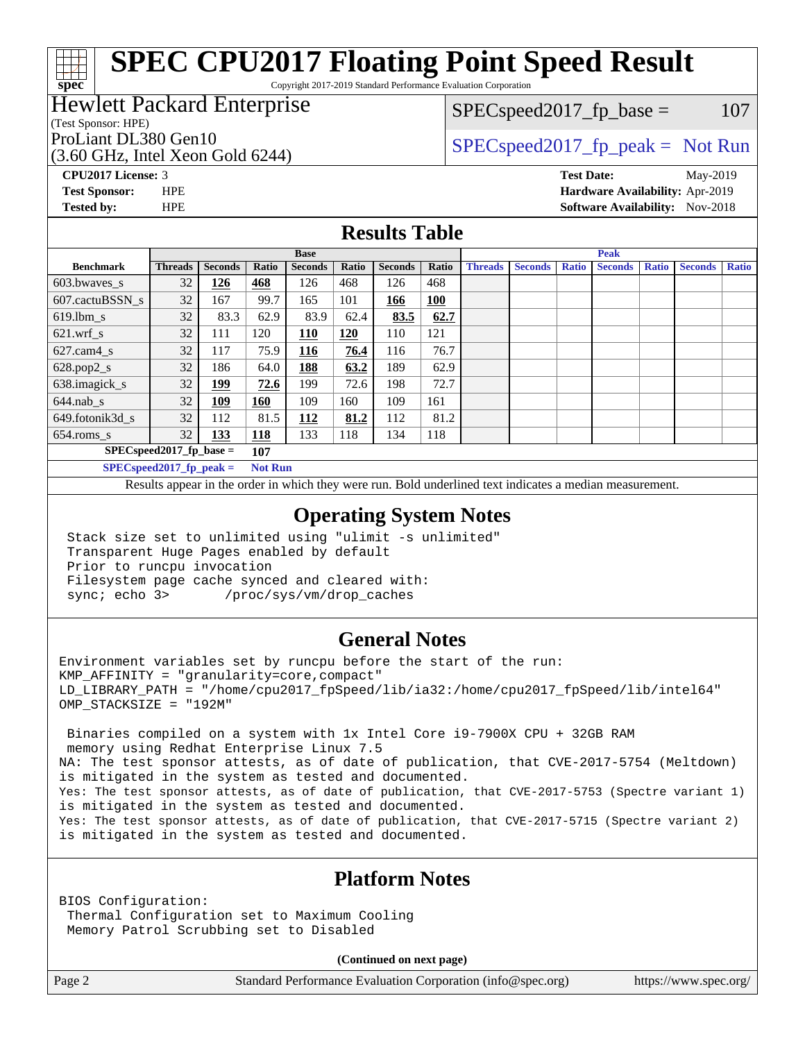Copyright 2017-2019 Standard Performance Evaluation Corporation

# Hewlett Packard Enterprise

(Test Sponsor: HPE)

(3.60 GHz, Intel Xeon Gold 6244)

 $SPEC speed2017_fp\_base = 107$ 

# ProLiant DL380 Gen10  $SPEC speed2017$  [p\_peak = Not Run

**[spec](http://www.spec.org/)**

**[CPU2017 License:](http://www.spec.org/auto/cpu2017/Docs/result-fields.html#CPU2017License)** 3 **[Test Date:](http://www.spec.org/auto/cpu2017/Docs/result-fields.html#TestDate)** May-2019 **[Test Sponsor:](http://www.spec.org/auto/cpu2017/Docs/result-fields.html#TestSponsor)** HPE **[Hardware Availability:](http://www.spec.org/auto/cpu2017/Docs/result-fields.html#HardwareAvailability)** Apr-2019 **[Tested by:](http://www.spec.org/auto/cpu2017/Docs/result-fields.html#Testedby)** HPE **[Software Availability:](http://www.spec.org/auto/cpu2017/Docs/result-fields.html#SoftwareAvailability)** Nov-2018

### **[Results Table](http://www.spec.org/auto/cpu2017/Docs/result-fields.html#ResultsTable)**

|                                   | <b>Base</b>                    |                |                 |                | <b>Peak</b> |                |       |                |                |              |                |              |                |              |
|-----------------------------------|--------------------------------|----------------|-----------------|----------------|-------------|----------------|-------|----------------|----------------|--------------|----------------|--------------|----------------|--------------|
| <b>Benchmark</b>                  | <b>Threads</b>                 | <b>Seconds</b> | Ratio           | <b>Seconds</b> | Ratio       | <b>Seconds</b> | Ratio | <b>Threads</b> | <b>Seconds</b> | <b>Ratio</b> | <b>Seconds</b> | <b>Ratio</b> | <b>Seconds</b> | <b>Ratio</b> |
| 603.bwayes s                      | 32                             | 126            | 468             | 126            | 468         | 126            | 468   |                |                |              |                |              |                |              |
| 607.cactuBSSN s                   | 32                             | 167            | 99.7            | 165            | 101         | 166            | 100   |                |                |              |                |              |                |              |
| $619.1$ bm s                      | 32                             | 83.3           | 62.9            | 83.9           | 62.4        | 83.5           | 62.7  |                |                |              |                |              |                |              |
| $621$ .wrf s                      | 32                             | 111            | 120             | 110            | 120         | 110            | 121   |                |                |              |                |              |                |              |
| $627$ .cam $4$ <sub>s</sub>       | 32                             | 117            | 75.9            | 116            | 76.4        | 116            | 76.7  |                |                |              |                |              |                |              |
| $628.pop2_s$                      | 32                             | 186            | 64.0            | 188            | 63.2        | 189            | 62.9  |                |                |              |                |              |                |              |
| 638.imagick_s                     | 32                             | <u>199</u>     | 72.6            | 199            | 72.6        | 198            | 72.7  |                |                |              |                |              |                |              |
| $644$ .nab s                      | 32                             | 109            | 160             | 109            | 160         | 109            | 161   |                |                |              |                |              |                |              |
| 649.fotonik3d s                   | 32                             | 112            | 81.5            | 112            | 81.2        | 112            | 81.2  |                |                |              |                |              |                |              |
| $654$ .roms s                     | 32                             | 133            | <b>118</b>      | 133            | 118         | 134            | 118   |                |                |              |                |              |                |              |
| $SPEC speed2017$ fp base =<br>107 |                                |                |                 |                |             |                |       |                |                |              |                |              |                |              |
|                                   | $CDDCA_{11} + 30047$ for $1.1$ |                | $M = 4$ $M = 1$ |                |             |                |       |                |                |              |                |              |                |              |

**[SPECspeed2017\\_fp\\_peak =](http://www.spec.org/auto/cpu2017/Docs/result-fields.html#SPECspeed2017fppeak) Not Run**

Results appear in the [order in which they were run.](http://www.spec.org/auto/cpu2017/Docs/result-fields.html#RunOrder) Bold underlined text [indicates a median measurement](http://www.spec.org/auto/cpu2017/Docs/result-fields.html#Median).

### **[Operating System Notes](http://www.spec.org/auto/cpu2017/Docs/result-fields.html#OperatingSystemNotes)**

 Stack size set to unlimited using "ulimit -s unlimited" Transparent Huge Pages enabled by default Prior to runcpu invocation Filesystem page cache synced and cleared with: sync; echo 3> /proc/sys/vm/drop\_caches

### **[General Notes](http://www.spec.org/auto/cpu2017/Docs/result-fields.html#GeneralNotes)**

Environment variables set by runcpu before the start of the run: KMP\_AFFINITY = "granularity=core,compact" LD\_LIBRARY\_PATH = "/home/cpu2017\_fpSpeed/lib/ia32:/home/cpu2017\_fpSpeed/lib/intel64" OMP\_STACKSIZE = "192M"

 Binaries compiled on a system with 1x Intel Core i9-7900X CPU + 32GB RAM memory using Redhat Enterprise Linux 7.5 NA: The test sponsor attests, as of date of publication, that CVE-2017-5754 (Meltdown) is mitigated in the system as tested and documented. Yes: The test sponsor attests, as of date of publication, that CVE-2017-5753 (Spectre variant 1) is mitigated in the system as tested and documented. Yes: The test sponsor attests, as of date of publication, that CVE-2017-5715 (Spectre variant 2) is mitigated in the system as tested and documented.

# **[Platform Notes](http://www.spec.org/auto/cpu2017/Docs/result-fields.html#PlatformNotes)**

BIOS Configuration: Thermal Configuration set to Maximum Cooling Memory Patrol Scrubbing set to Disabled

**(Continued on next page)**

Page 2 Standard Performance Evaluation Corporation [\(info@spec.org\)](mailto:info@spec.org) <https://www.spec.org/>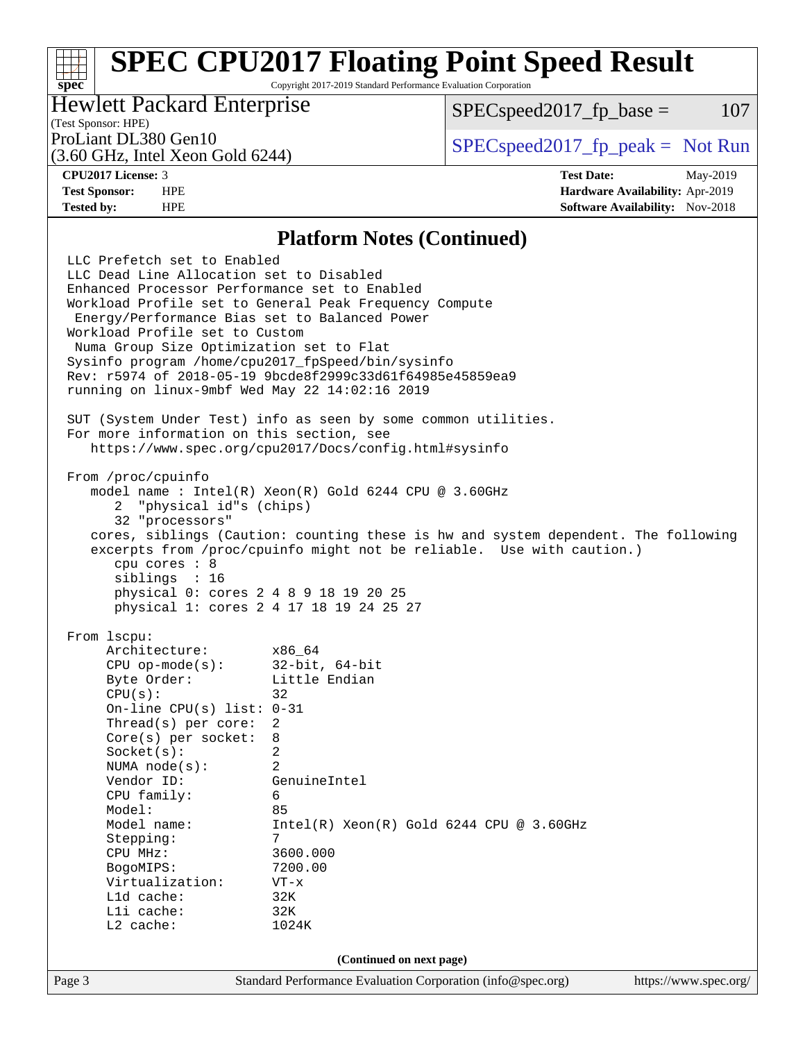Copyright 2017-2019 Standard Performance Evaluation Corporation

# Hewlett Packard Enterprise

 $SPEC speed2017<sub>fp</sub> base =  $107$$ 

# (Test Sponsor: HPE)

(3.60 GHz, Intel Xeon Gold 6244)

ProLiant DL380 Gen10  $SPEC speed2017$  [p\_peak = Not Run

**[spec](http://www.spec.org/)**

**[CPU2017 License:](http://www.spec.org/auto/cpu2017/Docs/result-fields.html#CPU2017License)** 3 **[Test Date:](http://www.spec.org/auto/cpu2017/Docs/result-fields.html#TestDate)** May-2019 **[Test Sponsor:](http://www.spec.org/auto/cpu2017/Docs/result-fields.html#TestSponsor)** HPE **[Hardware Availability:](http://www.spec.org/auto/cpu2017/Docs/result-fields.html#HardwareAvailability)** Apr-2019 **[Tested by:](http://www.spec.org/auto/cpu2017/Docs/result-fields.html#Testedby)** HPE **[Software Availability:](http://www.spec.org/auto/cpu2017/Docs/result-fields.html#SoftwareAvailability)** Nov-2018

### **[Platform Notes \(Continued\)](http://www.spec.org/auto/cpu2017/Docs/result-fields.html#PlatformNotes)**

Page 3 Standard Performance Evaluation Corporation [\(info@spec.org\)](mailto:info@spec.org) <https://www.spec.org/> LLC Prefetch set to Enabled LLC Dead Line Allocation set to Disabled Enhanced Processor Performance set to Enabled Workload Profile set to General Peak Frequency Compute Energy/Performance Bias set to Balanced Power Workload Profile set to Custom Numa Group Size Optimization set to Flat Sysinfo program /home/cpu2017\_fpSpeed/bin/sysinfo Rev: r5974 of 2018-05-19 9bcde8f2999c33d61f64985e45859ea9 running on linux-9mbf Wed May 22 14:02:16 2019 SUT (System Under Test) info as seen by some common utilities. For more information on this section, see <https://www.spec.org/cpu2017/Docs/config.html#sysinfo> From /proc/cpuinfo model name : Intel(R) Xeon(R) Gold 6244 CPU @ 3.60GHz 2 "physical id"s (chips) 32 "processors" cores, siblings (Caution: counting these is hw and system dependent. The following excerpts from /proc/cpuinfo might not be reliable. Use with caution.) cpu cores : 8 siblings : 16 physical 0: cores 2 4 8 9 18 19 20 25 physical 1: cores 2 4 17 18 19 24 25 27 From lscpu: Architecture: x86\_64 CPU op-mode(s): 32-bit, 64-bit Byte Order: Little Endian  $CPU(s):$  32 On-line CPU(s) list: 0-31 Thread(s) per core: 2 Core(s) per socket: 8 Socket(s): 2 NUMA node(s): 2 Vendor ID: GenuineIntel CPU family: 6 Model: 85 Model name: Intel(R) Xeon(R) Gold 6244 CPU @ 3.60GHz Stepping: 7 CPU MHz: 3600.000 BogoMIPS: 7200.00 Virtualization: VT-x L1d cache: 32K L1i cache: 32K L2 cache: 1024K **(Continued on next page)**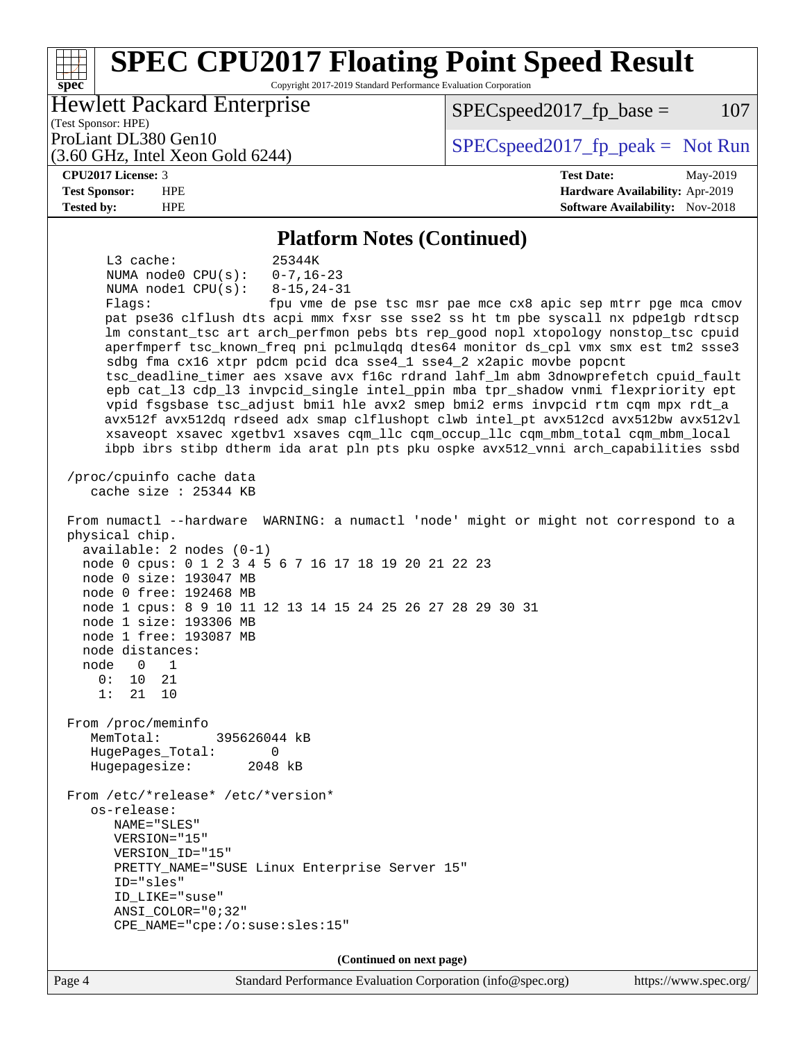### **[spec](http://www.spec.org/) [SPEC CPU2017 Floating Point Speed Result](http://www.spec.org/auto/cpu2017/Docs/result-fields.html#SPECCPU2017FloatingPointSpeedResult)** Copyright 2017-2019 Standard Performance Evaluation Corporation (Test Sponsor: HPE) Hewlett Packard Enterprise (3.60 GHz, Intel Xeon Gold 6244) ProLiant DL380 Gen10  $SPEC speed2017$  [p\_peak = Not Run  $SPEC speed2017<sub>fp</sub> base =  $107$$ **[CPU2017 License:](http://www.spec.org/auto/cpu2017/Docs/result-fields.html#CPU2017License)** 3 **[Test Date:](http://www.spec.org/auto/cpu2017/Docs/result-fields.html#TestDate)** May-2019 **[Test Sponsor:](http://www.spec.org/auto/cpu2017/Docs/result-fields.html#TestSponsor)** HPE **[Hardware Availability:](http://www.spec.org/auto/cpu2017/Docs/result-fields.html#HardwareAvailability)** Apr-2019 **[Tested by:](http://www.spec.org/auto/cpu2017/Docs/result-fields.html#Testedby)** HPE **[Software Availability:](http://www.spec.org/auto/cpu2017/Docs/result-fields.html#SoftwareAvailability)** Nov-2018 **[Platform Notes \(Continued\)](http://www.spec.org/auto/cpu2017/Docs/result-fields.html#PlatformNotes)** L3 cache: 25344K NUMA node0 CPU(s): 0-7,16-23 NUMA node1 CPU(s): 8-15,24-31 Flags: fpu vme de pse tsc msr pae mce cx8 apic sep mtrr pge mca cmov pat pse36 clflush dts acpi mmx fxsr sse sse2 ss ht tm pbe syscall nx pdpe1gb rdtscp lm constant\_tsc art arch\_perfmon pebs bts rep\_good nopl xtopology nonstop\_tsc cpuid aperfmperf tsc\_known\_freq pni pclmulqdq dtes64 monitor ds\_cpl vmx smx est tm2 ssse3 sdbg fma cx16 xtpr pdcm pcid dca sse4\_1 sse4\_2 x2apic movbe popcnt tsc\_deadline\_timer aes xsave avx f16c rdrand lahf\_lm abm 3dnowprefetch cpuid\_fault epb cat\_l3 cdp\_l3 invpcid\_single intel\_ppin mba tpr\_shadow vnmi flexpriority ept vpid fsgsbase tsc\_adjust bmi1 hle avx2 smep bmi2 erms invpcid rtm cqm mpx rdt\_a avx512f avx512dq rdseed adx smap clflushopt clwb intel\_pt avx512cd avx512bw avx512vl xsaveopt xsavec xgetbv1 xsaves cqm\_llc cqm\_occup\_llc cqm\_mbm\_total cqm\_mbm\_local ibpb ibrs stibp dtherm ida arat pln pts pku ospke avx512\_vnni arch\_capabilities ssbd /proc/cpuinfo cache data cache size : 25344 KB From numactl --hardware WARNING: a numactl 'node' might or might not correspond to a physical chip. available: 2 nodes (0-1) node 0 cpus: 0 1 2 3 4 5 6 7 16 17 18 19 20 21 22 23 node 0 size: 193047 MB node 0 free: 192468 MB node 1 cpus: 8 9 10 11 12 13 14 15 24 25 26 27 28 29 30 31 node 1 size: 193306 MB node 1 free: 193087 MB node distances: node 0 1 0: 10 21 1: 21 10 From /proc/meminfo MemTotal: 395626044 kB HugePages\_Total: 0 Hugepagesize: 2048 kB From /etc/\*release\* /etc/\*version\* os-release: NAME="SLES" VERSION="15" VERSION\_ID="15" PRETTY\_NAME="SUSE Linux Enterprise Server 15" ID="sles" ID\_LIKE="suse" ANSI\_COLOR="0;32" CPE\_NAME="cpe:/o:suse:sles:15" **(Continued on next page)**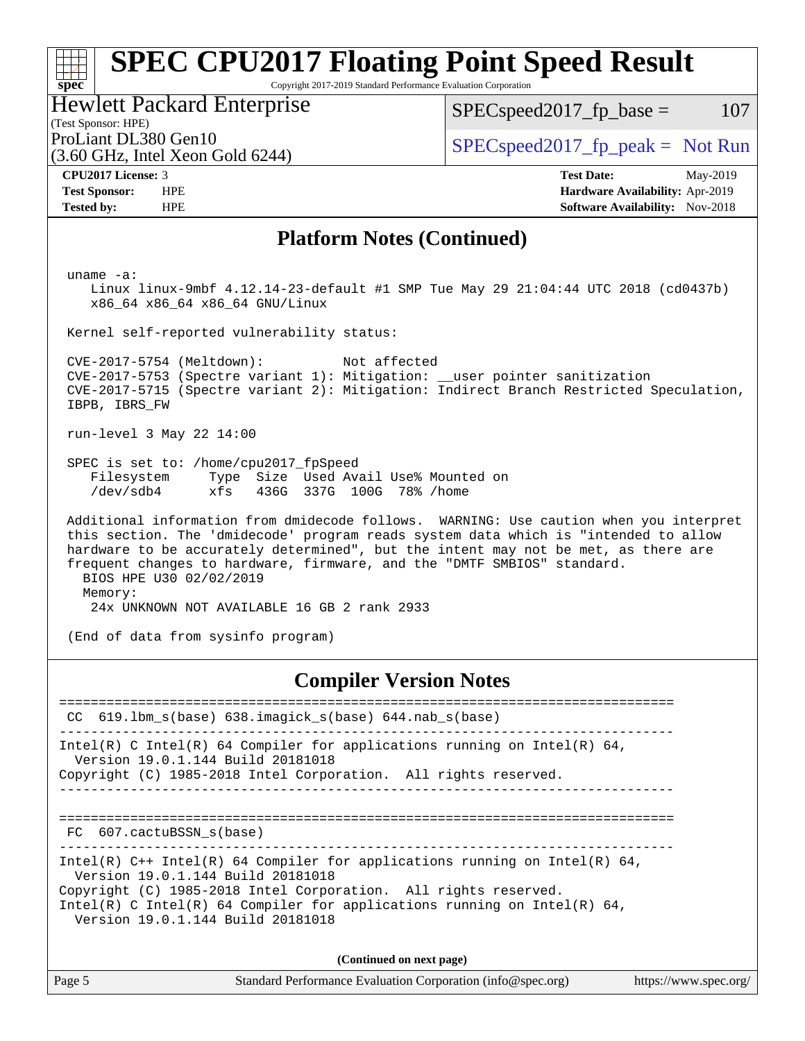### **[spec](http://www.spec.org/) [SPEC CPU2017 Floating Point Speed Result](http://www.spec.org/auto/cpu2017/Docs/result-fields.html#SPECCPU2017FloatingPointSpeedResult)** Copyright 2017-2019 Standard Performance Evaluation Corporation Hewlett Packard Enterprise  $SPEC speed2017_fp\_base = 107$

(Test Sponsor: HPE)

(3.60 GHz, Intel Xeon Gold 6244)

ProLiant DL380 Gen10  $SPEC speed2017_f$   $p\_peak = Not Run$ 

**[CPU2017 License:](http://www.spec.org/auto/cpu2017/Docs/result-fields.html#CPU2017License)** 3 **[Test Date:](http://www.spec.org/auto/cpu2017/Docs/result-fields.html#TestDate)** May-2019 **[Test Sponsor:](http://www.spec.org/auto/cpu2017/Docs/result-fields.html#TestSponsor)** HPE **[Hardware Availability:](http://www.spec.org/auto/cpu2017/Docs/result-fields.html#HardwareAvailability)** Apr-2019 **[Tested by:](http://www.spec.org/auto/cpu2017/Docs/result-fields.html#Testedby)** HPE **HPE [Software Availability:](http://www.spec.org/auto/cpu2017/Docs/result-fields.html#SoftwareAvailability)** Nov-2018

### **[Platform Notes \(Continued\)](http://www.spec.org/auto/cpu2017/Docs/result-fields.html#PlatformNotes)**

uname -a:

 Linux linux-9mbf 4.12.14-23-default #1 SMP Tue May 29 21:04:44 UTC 2018 (cd0437b) x86\_64 x86\_64 x86\_64 GNU/Linux

Kernel self-reported vulnerability status:

 CVE-2017-5754 (Meltdown): Not affected CVE-2017-5753 (Spectre variant 1): Mitigation: \_\_user pointer sanitization CVE-2017-5715 (Spectre variant 2): Mitigation: Indirect Branch Restricted Speculation, IBPB, IBRS\_FW

run-level 3 May 22 14:00

 SPEC is set to: /home/cpu2017\_fpSpeed Filesystem Type Size Used Avail Use% Mounted on /dev/sdb4 xfs 436G 337G 100G 78% /home

 Additional information from dmidecode follows. WARNING: Use caution when you interpret this section. The 'dmidecode' program reads system data which is "intended to allow hardware to be accurately determined", but the intent may not be met, as there are frequent changes to hardware, firmware, and the "DMTF SMBIOS" standard. BIOS HPE U30 02/02/2019 Memory: 24x UNKNOWN NOT AVAILABLE 16 GB 2 rank 2933

(End of data from sysinfo program)

### **[Compiler Version Notes](http://www.spec.org/auto/cpu2017/Docs/result-fields.html#CompilerVersionNotes)**

============================================================================== CC 619.lbm\_s(base) 638.imagick\_s(base) 644.nab\_s(base) ------------------------------------------------------------------------------ Intel(R) C Intel(R) 64 Compiler for applications running on Intel(R)  $64$ , Version 19.0.1.144 Build 20181018 Copyright (C) 1985-2018 Intel Corporation. All rights reserved. ------------------------------------------------------------------------------ ============================================================================== FC 607.cactuBSSN s(base) ------------------------------------------------------------------------------ Intel(R) C++ Intel(R) 64 Compiler for applications running on Intel(R)  $64$ , Version 19.0.1.144 Build 20181018 Copyright (C) 1985-2018 Intel Corporation. All rights reserved. Intel(R) C Intel(R) 64 Compiler for applications running on Intel(R)  $64$ , Version 19.0.1.144 Build 20181018 **(Continued on next page)**

|        | .                                                           |                       |
|--------|-------------------------------------------------------------|-----------------------|
| Page 5 | Standard Performance Evaluation Corporation (info@spec.org) | https://www.spec.org/ |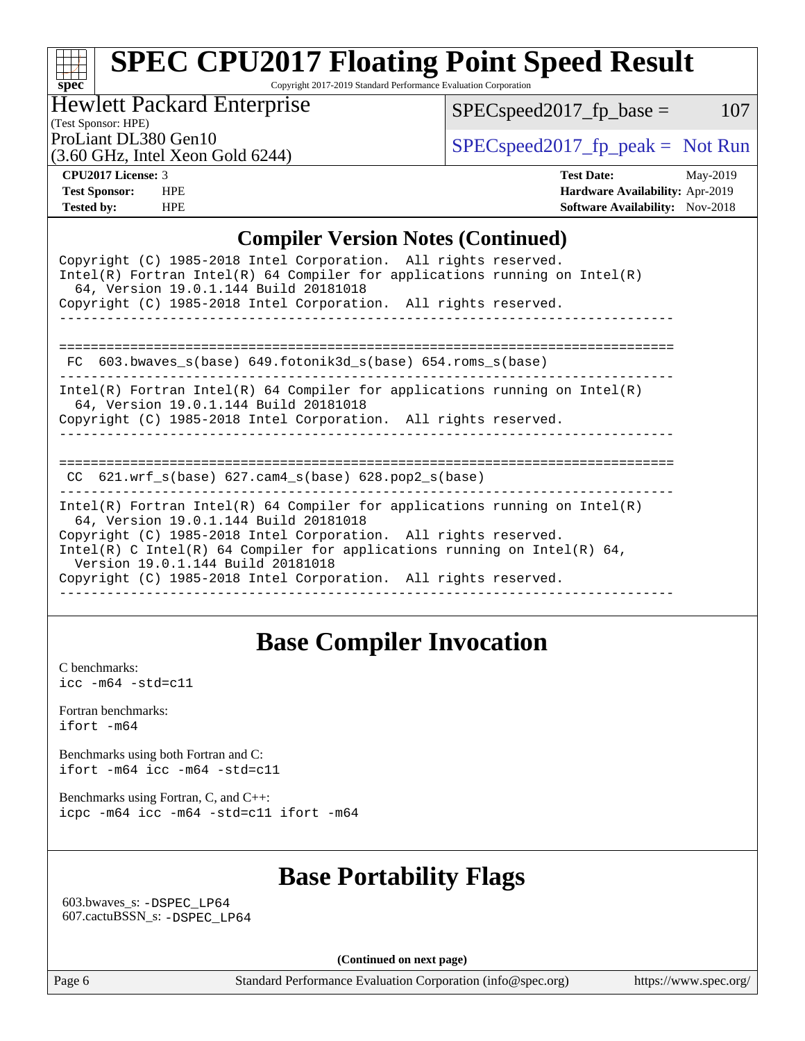Copyright 2017-2019 Standard Performance Evaluation Corporation

Hewlett Packard Enterprise

 $SPEC speed2017_fp\_base = 107$ 

(Test Sponsor: HPE)

(3.60 GHz, Intel Xeon Gold 6244)

ProLiant DL380 Gen10<br>  $SPECspeed2017<sub>fp</sub> peak = Not Run$ <br>  $SPECspeed2017<sub>fp</sub> peak = Not Run$ 

**[spec](http://www.spec.org/)**

**[CPU2017 License:](http://www.spec.org/auto/cpu2017/Docs/result-fields.html#CPU2017License)** 3 **[Test Date:](http://www.spec.org/auto/cpu2017/Docs/result-fields.html#TestDate)** May-2019 **[Test Sponsor:](http://www.spec.org/auto/cpu2017/Docs/result-fields.html#TestSponsor)** HPE **[Hardware Availability:](http://www.spec.org/auto/cpu2017/Docs/result-fields.html#HardwareAvailability)** Apr-2019 **[Tested by:](http://www.spec.org/auto/cpu2017/Docs/result-fields.html#Testedby)** HPE **[Software Availability:](http://www.spec.org/auto/cpu2017/Docs/result-fields.html#SoftwareAvailability)** Nov-2018

### **[Compiler Version Notes \(Continued\)](http://www.spec.org/auto/cpu2017/Docs/result-fields.html#CompilerVersionNotes)**

| Copyright (C) 1985-2018 Intel Corporation. All rights reserved.<br>Intel(R) Fortran Intel(R) 64 Compiler for applications running on Intel(R) |  |  |  |  |  |  |
|-----------------------------------------------------------------------------------------------------------------------------------------------|--|--|--|--|--|--|
| 64, Version 19.0.1.144 Build 20181018                                                                                                         |  |  |  |  |  |  |
| Copyright (C) 1985-2018 Intel Corporation. All rights reserved.                                                                               |  |  |  |  |  |  |
|                                                                                                                                               |  |  |  |  |  |  |
|                                                                                                                                               |  |  |  |  |  |  |
| 603.bwaves s(base) 649.fotonik3d s(base) 654.roms s(base)<br>FC.                                                                              |  |  |  |  |  |  |
| Intel(R) Fortran Intel(R) 64 Compiler for applications running on Intel(R)<br>64, Version 19.0.1.144 Build 20181018                           |  |  |  |  |  |  |
| Copyright (C) 1985-2018 Intel Corporation. All rights reserved.                                                                               |  |  |  |  |  |  |
|                                                                                                                                               |  |  |  |  |  |  |
|                                                                                                                                               |  |  |  |  |  |  |
|                                                                                                                                               |  |  |  |  |  |  |
| CC $621.$ wrf $s(base)$ $627.$ cam4 $s(base)$ $628.$ pop2 $s(base)$                                                                           |  |  |  |  |  |  |
| Intel(R) Fortran Intel(R) 64 Compiler for applications running on Intel(R)<br>64, Version 19.0.1.144 Build 20181018                           |  |  |  |  |  |  |
| Copyright (C) 1985-2018 Intel Corporation. All rights reserved.                                                                               |  |  |  |  |  |  |
| Intel(R) C Intel(R) 64 Compiler for applications running on Intel(R) 64,<br>Version 19.0.1.144 Build 20181018                                 |  |  |  |  |  |  |
| Copyright (C) 1985-2018 Intel Corporation. All rights reserved.                                                                               |  |  |  |  |  |  |
|                                                                                                                                               |  |  |  |  |  |  |

# **[Base Compiler Invocation](http://www.spec.org/auto/cpu2017/Docs/result-fields.html#BaseCompilerInvocation)**

[C benchmarks](http://www.spec.org/auto/cpu2017/Docs/result-fields.html#Cbenchmarks): [icc -m64 -std=c11](http://www.spec.org/cpu2017/results/res2019q3/cpu2017-20190624-15596.flags.html#user_CCbase_intel_icc_64bit_c11_33ee0cdaae7deeeab2a9725423ba97205ce30f63b9926c2519791662299b76a0318f32ddfffdc46587804de3178b4f9328c46fa7c2b0cd779d7a61945c91cd35)

[Fortran benchmarks](http://www.spec.org/auto/cpu2017/Docs/result-fields.html#Fortranbenchmarks): [ifort -m64](http://www.spec.org/cpu2017/results/res2019q3/cpu2017-20190624-15596.flags.html#user_FCbase_intel_ifort_64bit_24f2bb282fbaeffd6157abe4f878425411749daecae9a33200eee2bee2fe76f3b89351d69a8130dd5949958ce389cf37ff59a95e7a40d588e8d3a57e0c3fd751)

[Benchmarks using both Fortran and C](http://www.spec.org/auto/cpu2017/Docs/result-fields.html#BenchmarksusingbothFortranandC): [ifort -m64](http://www.spec.org/cpu2017/results/res2019q3/cpu2017-20190624-15596.flags.html#user_CC_FCbase_intel_ifort_64bit_24f2bb282fbaeffd6157abe4f878425411749daecae9a33200eee2bee2fe76f3b89351d69a8130dd5949958ce389cf37ff59a95e7a40d588e8d3a57e0c3fd751) [icc -m64 -std=c11](http://www.spec.org/cpu2017/results/res2019q3/cpu2017-20190624-15596.flags.html#user_CC_FCbase_intel_icc_64bit_c11_33ee0cdaae7deeeab2a9725423ba97205ce30f63b9926c2519791662299b76a0318f32ddfffdc46587804de3178b4f9328c46fa7c2b0cd779d7a61945c91cd35)

[Benchmarks using Fortran, C, and C++:](http://www.spec.org/auto/cpu2017/Docs/result-fields.html#BenchmarksusingFortranCandCXX) [icpc -m64](http://www.spec.org/cpu2017/results/res2019q3/cpu2017-20190624-15596.flags.html#user_CC_CXX_FCbase_intel_icpc_64bit_4ecb2543ae3f1412ef961e0650ca070fec7b7afdcd6ed48761b84423119d1bf6bdf5cad15b44d48e7256388bc77273b966e5eb805aefd121eb22e9299b2ec9d9) [icc -m64 -std=c11](http://www.spec.org/cpu2017/results/res2019q3/cpu2017-20190624-15596.flags.html#user_CC_CXX_FCbase_intel_icc_64bit_c11_33ee0cdaae7deeeab2a9725423ba97205ce30f63b9926c2519791662299b76a0318f32ddfffdc46587804de3178b4f9328c46fa7c2b0cd779d7a61945c91cd35) [ifort -m64](http://www.spec.org/cpu2017/results/res2019q3/cpu2017-20190624-15596.flags.html#user_CC_CXX_FCbase_intel_ifort_64bit_24f2bb282fbaeffd6157abe4f878425411749daecae9a33200eee2bee2fe76f3b89351d69a8130dd5949958ce389cf37ff59a95e7a40d588e8d3a57e0c3fd751)

# **[Base Portability Flags](http://www.spec.org/auto/cpu2017/Docs/result-fields.html#BasePortabilityFlags)**

 603.bwaves\_s: [-DSPEC\\_LP64](http://www.spec.org/cpu2017/results/res2019q3/cpu2017-20190624-15596.flags.html#suite_basePORTABILITY603_bwaves_s_DSPEC_LP64) 607.cactuBSSN\_s: [-DSPEC\\_LP64](http://www.spec.org/cpu2017/results/res2019q3/cpu2017-20190624-15596.flags.html#suite_basePORTABILITY607_cactuBSSN_s_DSPEC_LP64)

**(Continued on next page)**

Page 6 Standard Performance Evaluation Corporation [\(info@spec.org\)](mailto:info@spec.org) <https://www.spec.org/>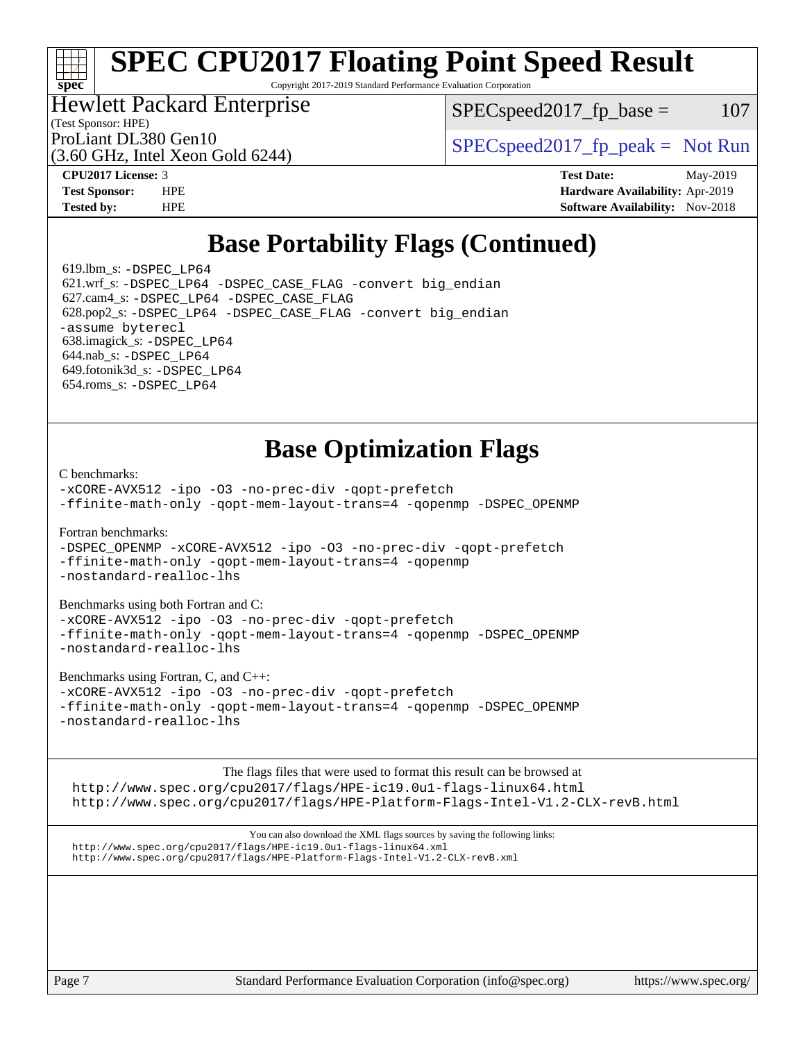Copyright 2017-2019 Standard Performance Evaluation Corporation

# Hewlett Packard Enterprise

(3.60 GHz, Intel Xeon Gold 6244)

 $SPEC speed2017<sub>fp</sub> base =  $107$$ 

(Test Sponsor: HPE)

ProLiant DL380 Gen10  $SPEC speed2017$  [p\_peak = Not Run

**[spec](http://www.spec.org/)**

**[CPU2017 License:](http://www.spec.org/auto/cpu2017/Docs/result-fields.html#CPU2017License)** 3 **[Test Date:](http://www.spec.org/auto/cpu2017/Docs/result-fields.html#TestDate)** May-2019 **[Test Sponsor:](http://www.spec.org/auto/cpu2017/Docs/result-fields.html#TestSponsor)** HPE **[Hardware Availability:](http://www.spec.org/auto/cpu2017/Docs/result-fields.html#HardwareAvailability)** Apr-2019 **[Tested by:](http://www.spec.org/auto/cpu2017/Docs/result-fields.html#Testedby)** HPE **HPE [Software Availability:](http://www.spec.org/auto/cpu2017/Docs/result-fields.html#SoftwareAvailability)** Nov-2018

# **[Base Portability Flags \(Continued\)](http://www.spec.org/auto/cpu2017/Docs/result-fields.html#BasePortabilityFlags)**

 619.lbm\_s: [-DSPEC\\_LP64](http://www.spec.org/cpu2017/results/res2019q3/cpu2017-20190624-15596.flags.html#suite_basePORTABILITY619_lbm_s_DSPEC_LP64) 621.wrf\_s: [-DSPEC\\_LP64](http://www.spec.org/cpu2017/results/res2019q3/cpu2017-20190624-15596.flags.html#suite_basePORTABILITY621_wrf_s_DSPEC_LP64) [-DSPEC\\_CASE\\_FLAG](http://www.spec.org/cpu2017/results/res2019q3/cpu2017-20190624-15596.flags.html#b621.wrf_s_baseCPORTABILITY_DSPEC_CASE_FLAG) [-convert big\\_endian](http://www.spec.org/cpu2017/results/res2019q3/cpu2017-20190624-15596.flags.html#user_baseFPORTABILITY621_wrf_s_convert_big_endian_c3194028bc08c63ac5d04de18c48ce6d347e4e562e8892b8bdbdc0214820426deb8554edfa529a3fb25a586e65a3d812c835984020483e7e73212c4d31a38223) 627.cam4\_s: [-DSPEC\\_LP64](http://www.spec.org/cpu2017/results/res2019q3/cpu2017-20190624-15596.flags.html#suite_basePORTABILITY627_cam4_s_DSPEC_LP64) [-DSPEC\\_CASE\\_FLAG](http://www.spec.org/cpu2017/results/res2019q3/cpu2017-20190624-15596.flags.html#b627.cam4_s_baseCPORTABILITY_DSPEC_CASE_FLAG) 628.pop2\_s: [-DSPEC\\_LP64](http://www.spec.org/cpu2017/results/res2019q3/cpu2017-20190624-15596.flags.html#suite_basePORTABILITY628_pop2_s_DSPEC_LP64) [-DSPEC\\_CASE\\_FLAG](http://www.spec.org/cpu2017/results/res2019q3/cpu2017-20190624-15596.flags.html#b628.pop2_s_baseCPORTABILITY_DSPEC_CASE_FLAG) [-convert big\\_endian](http://www.spec.org/cpu2017/results/res2019q3/cpu2017-20190624-15596.flags.html#user_baseFPORTABILITY628_pop2_s_convert_big_endian_c3194028bc08c63ac5d04de18c48ce6d347e4e562e8892b8bdbdc0214820426deb8554edfa529a3fb25a586e65a3d812c835984020483e7e73212c4d31a38223) [-assume byterecl](http://www.spec.org/cpu2017/results/res2019q3/cpu2017-20190624-15596.flags.html#user_baseFPORTABILITY628_pop2_s_assume_byterecl_7e47d18b9513cf18525430bbf0f2177aa9bf368bc7a059c09b2c06a34b53bd3447c950d3f8d6c70e3faf3a05c8557d66a5798b567902e8849adc142926523472) 638.imagick\_s: [-DSPEC\\_LP64](http://www.spec.org/cpu2017/results/res2019q3/cpu2017-20190624-15596.flags.html#suite_basePORTABILITY638_imagick_s_DSPEC_LP64) 644.nab\_s: [-DSPEC\\_LP64](http://www.spec.org/cpu2017/results/res2019q3/cpu2017-20190624-15596.flags.html#suite_basePORTABILITY644_nab_s_DSPEC_LP64) 649.fotonik3d\_s: [-DSPEC\\_LP64](http://www.spec.org/cpu2017/results/res2019q3/cpu2017-20190624-15596.flags.html#suite_basePORTABILITY649_fotonik3d_s_DSPEC_LP64) 654.roms\_s: [-DSPEC\\_LP64](http://www.spec.org/cpu2017/results/res2019q3/cpu2017-20190624-15596.flags.html#suite_basePORTABILITY654_roms_s_DSPEC_LP64)

# **[Base Optimization Flags](http://www.spec.org/auto/cpu2017/Docs/result-fields.html#BaseOptimizationFlags)**

[C benchmarks](http://www.spec.org/auto/cpu2017/Docs/result-fields.html#Cbenchmarks):

[-xCORE-AVX512](http://www.spec.org/cpu2017/results/res2019q3/cpu2017-20190624-15596.flags.html#user_CCbase_f-xCORE-AVX512) [-ipo](http://www.spec.org/cpu2017/results/res2019q3/cpu2017-20190624-15596.flags.html#user_CCbase_f-ipo) [-O3](http://www.spec.org/cpu2017/results/res2019q3/cpu2017-20190624-15596.flags.html#user_CCbase_f-O3) [-no-prec-div](http://www.spec.org/cpu2017/results/res2019q3/cpu2017-20190624-15596.flags.html#user_CCbase_f-no-prec-div) [-qopt-prefetch](http://www.spec.org/cpu2017/results/res2019q3/cpu2017-20190624-15596.flags.html#user_CCbase_f-qopt-prefetch) [-ffinite-math-only](http://www.spec.org/cpu2017/results/res2019q3/cpu2017-20190624-15596.flags.html#user_CCbase_f_finite_math_only_cb91587bd2077682c4b38af759c288ed7c732db004271a9512da14a4f8007909a5f1427ecbf1a0fb78ff2a814402c6114ac565ca162485bbcae155b5e4258871) [-qopt-mem-layout-trans=4](http://www.spec.org/cpu2017/results/res2019q3/cpu2017-20190624-15596.flags.html#user_CCbase_f-qopt-mem-layout-trans_fa39e755916c150a61361b7846f310bcdf6f04e385ef281cadf3647acec3f0ae266d1a1d22d972a7087a248fd4e6ca390a3634700869573d231a252c784941a8) [-qopenmp](http://www.spec.org/cpu2017/results/res2019q3/cpu2017-20190624-15596.flags.html#user_CCbase_qopenmp_16be0c44f24f464004c6784a7acb94aca937f053568ce72f94b139a11c7c168634a55f6653758ddd83bcf7b8463e8028bb0b48b77bcddc6b78d5d95bb1df2967) [-DSPEC\\_OPENMP](http://www.spec.org/cpu2017/results/res2019q3/cpu2017-20190624-15596.flags.html#suite_CCbase_DSPEC_OPENMP)

[Fortran benchmarks](http://www.spec.org/auto/cpu2017/Docs/result-fields.html#Fortranbenchmarks):

[-DSPEC\\_OPENMP](http://www.spec.org/cpu2017/results/res2019q3/cpu2017-20190624-15596.flags.html#suite_FCbase_DSPEC_OPENMP) [-xCORE-AVX512](http://www.spec.org/cpu2017/results/res2019q3/cpu2017-20190624-15596.flags.html#user_FCbase_f-xCORE-AVX512) [-ipo](http://www.spec.org/cpu2017/results/res2019q3/cpu2017-20190624-15596.flags.html#user_FCbase_f-ipo) [-O3](http://www.spec.org/cpu2017/results/res2019q3/cpu2017-20190624-15596.flags.html#user_FCbase_f-O3) [-no-prec-div](http://www.spec.org/cpu2017/results/res2019q3/cpu2017-20190624-15596.flags.html#user_FCbase_f-no-prec-div) [-qopt-prefetch](http://www.spec.org/cpu2017/results/res2019q3/cpu2017-20190624-15596.flags.html#user_FCbase_f-qopt-prefetch) [-ffinite-math-only](http://www.spec.org/cpu2017/results/res2019q3/cpu2017-20190624-15596.flags.html#user_FCbase_f_finite_math_only_cb91587bd2077682c4b38af759c288ed7c732db004271a9512da14a4f8007909a5f1427ecbf1a0fb78ff2a814402c6114ac565ca162485bbcae155b5e4258871) [-qopt-mem-layout-trans=4](http://www.spec.org/cpu2017/results/res2019q3/cpu2017-20190624-15596.flags.html#user_FCbase_f-qopt-mem-layout-trans_fa39e755916c150a61361b7846f310bcdf6f04e385ef281cadf3647acec3f0ae266d1a1d22d972a7087a248fd4e6ca390a3634700869573d231a252c784941a8) [-qopenmp](http://www.spec.org/cpu2017/results/res2019q3/cpu2017-20190624-15596.flags.html#user_FCbase_qopenmp_16be0c44f24f464004c6784a7acb94aca937f053568ce72f94b139a11c7c168634a55f6653758ddd83bcf7b8463e8028bb0b48b77bcddc6b78d5d95bb1df2967) [-nostandard-realloc-lhs](http://www.spec.org/cpu2017/results/res2019q3/cpu2017-20190624-15596.flags.html#user_FCbase_f_2003_std_realloc_82b4557e90729c0f113870c07e44d33d6f5a304b4f63d4c15d2d0f1fab99f5daaed73bdb9275d9ae411527f28b936061aa8b9c8f2d63842963b95c9dd6426b8a)

[Benchmarks using both Fortran and C](http://www.spec.org/auto/cpu2017/Docs/result-fields.html#BenchmarksusingbothFortranandC):

[-xCORE-AVX512](http://www.spec.org/cpu2017/results/res2019q3/cpu2017-20190624-15596.flags.html#user_CC_FCbase_f-xCORE-AVX512) [-ipo](http://www.spec.org/cpu2017/results/res2019q3/cpu2017-20190624-15596.flags.html#user_CC_FCbase_f-ipo) -03 [-no-prec-div](http://www.spec.org/cpu2017/results/res2019q3/cpu2017-20190624-15596.flags.html#user_CC_FCbase_f-no-prec-div) [-qopt-prefetch](http://www.spec.org/cpu2017/results/res2019q3/cpu2017-20190624-15596.flags.html#user_CC_FCbase_f-qopt-prefetch) [-ffinite-math-only](http://www.spec.org/cpu2017/results/res2019q3/cpu2017-20190624-15596.flags.html#user_CC_FCbase_f_finite_math_only_cb91587bd2077682c4b38af759c288ed7c732db004271a9512da14a4f8007909a5f1427ecbf1a0fb78ff2a814402c6114ac565ca162485bbcae155b5e4258871) [-qopt-mem-layout-trans=4](http://www.spec.org/cpu2017/results/res2019q3/cpu2017-20190624-15596.flags.html#user_CC_FCbase_f-qopt-mem-layout-trans_fa39e755916c150a61361b7846f310bcdf6f04e385ef281cadf3647acec3f0ae266d1a1d22d972a7087a248fd4e6ca390a3634700869573d231a252c784941a8) [-qopenmp](http://www.spec.org/cpu2017/results/res2019q3/cpu2017-20190624-15596.flags.html#user_CC_FCbase_qopenmp_16be0c44f24f464004c6784a7acb94aca937f053568ce72f94b139a11c7c168634a55f6653758ddd83bcf7b8463e8028bb0b48b77bcddc6b78d5d95bb1df2967) [-DSPEC\\_OPENMP](http://www.spec.org/cpu2017/results/res2019q3/cpu2017-20190624-15596.flags.html#suite_CC_FCbase_DSPEC_OPENMP) [-nostandard-realloc-lhs](http://www.spec.org/cpu2017/results/res2019q3/cpu2017-20190624-15596.flags.html#user_CC_FCbase_f_2003_std_realloc_82b4557e90729c0f113870c07e44d33d6f5a304b4f63d4c15d2d0f1fab99f5daaed73bdb9275d9ae411527f28b936061aa8b9c8f2d63842963b95c9dd6426b8a)

[Benchmarks using Fortran, C, and C++:](http://www.spec.org/auto/cpu2017/Docs/result-fields.html#BenchmarksusingFortranCandCXX)

[-xCORE-AVX512](http://www.spec.org/cpu2017/results/res2019q3/cpu2017-20190624-15596.flags.html#user_CC_CXX_FCbase_f-xCORE-AVX512) [-ipo](http://www.spec.org/cpu2017/results/res2019q3/cpu2017-20190624-15596.flags.html#user_CC_CXX_FCbase_f-ipo) [-O3](http://www.spec.org/cpu2017/results/res2019q3/cpu2017-20190624-15596.flags.html#user_CC_CXX_FCbase_f-O3) [-no-prec-div](http://www.spec.org/cpu2017/results/res2019q3/cpu2017-20190624-15596.flags.html#user_CC_CXX_FCbase_f-no-prec-div) [-qopt-prefetch](http://www.spec.org/cpu2017/results/res2019q3/cpu2017-20190624-15596.flags.html#user_CC_CXX_FCbase_f-qopt-prefetch) [-ffinite-math-only](http://www.spec.org/cpu2017/results/res2019q3/cpu2017-20190624-15596.flags.html#user_CC_CXX_FCbase_f_finite_math_only_cb91587bd2077682c4b38af759c288ed7c732db004271a9512da14a4f8007909a5f1427ecbf1a0fb78ff2a814402c6114ac565ca162485bbcae155b5e4258871) [-qopt-mem-layout-trans=4](http://www.spec.org/cpu2017/results/res2019q3/cpu2017-20190624-15596.flags.html#user_CC_CXX_FCbase_f-qopt-mem-layout-trans_fa39e755916c150a61361b7846f310bcdf6f04e385ef281cadf3647acec3f0ae266d1a1d22d972a7087a248fd4e6ca390a3634700869573d231a252c784941a8) [-qopenmp](http://www.spec.org/cpu2017/results/res2019q3/cpu2017-20190624-15596.flags.html#user_CC_CXX_FCbase_qopenmp_16be0c44f24f464004c6784a7acb94aca937f053568ce72f94b139a11c7c168634a55f6653758ddd83bcf7b8463e8028bb0b48b77bcddc6b78d5d95bb1df2967) [-DSPEC\\_OPENMP](http://www.spec.org/cpu2017/results/res2019q3/cpu2017-20190624-15596.flags.html#suite_CC_CXX_FCbase_DSPEC_OPENMP) [-nostandard-realloc-lhs](http://www.spec.org/cpu2017/results/res2019q3/cpu2017-20190624-15596.flags.html#user_CC_CXX_FCbase_f_2003_std_realloc_82b4557e90729c0f113870c07e44d33d6f5a304b4f63d4c15d2d0f1fab99f5daaed73bdb9275d9ae411527f28b936061aa8b9c8f2d63842963b95c9dd6426b8a)

The flags files that were used to format this result can be browsed at <http://www.spec.org/cpu2017/flags/HPE-ic19.0u1-flags-linux64.html> <http://www.spec.org/cpu2017/flags/HPE-Platform-Flags-Intel-V1.2-CLX-revB.html>

You can also download the XML flags sources by saving the following links: <http://www.spec.org/cpu2017/flags/HPE-ic19.0u1-flags-linux64.xml> <http://www.spec.org/cpu2017/flags/HPE-Platform-Flags-Intel-V1.2-CLX-revB.xml>